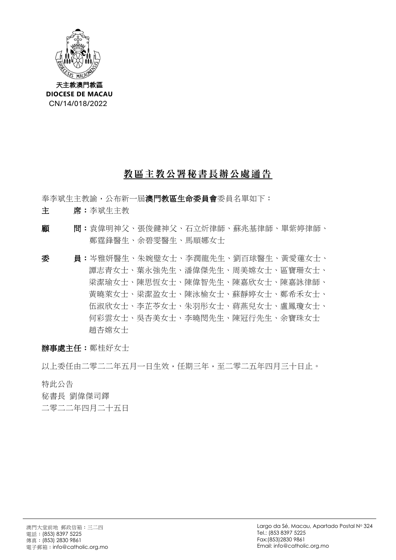

## 教區主教公署秘書長辦公處通告

奉李斌生主教諭,公布新一屆澳門教區生命委員會委員名單如下:

- 主 席:李斌生主教
- 顧 問:袁偉明神父、張俊鍵神父、石立炘律師、蘇兆基律師、單紫婷律師、 鄭霆鋒醫生、余碧雯醫生、馬順娜女士
- 委 員:岑雅妍醫生、朱婉璧女士、李潤龍先生、劉百球醫生、黃愛蓮女士、 譚志青女士、葉永強先生、潘偉傑先生、周美嫦女士、區寶珊女士、 梁潔瑜女士、陳思恆女士、陳偉智先生、陳嘉欣女士、陳嘉詠律師、 黃曉萊女士、梁潔盈女士、陳泳榆女士、蘇靜婷女士、鄭希禾女士、 伍淑欣女士、李芷苓女士、朱羽彤女士、蔣燕兒女士、盧鳳瓊女士、 何彩雲女士、吳杏美女士、李曉閔先生、陳冠行先生、余寶珠女士 趙杏嫦女士

辦事處主任:鄭桂好女士

以上委任由二零二二年五月一日生效,任期三年,至二零二五年四月三十日止。

特此公告

秘書長 劉偉傑司鐸

二零二二年四月二十五日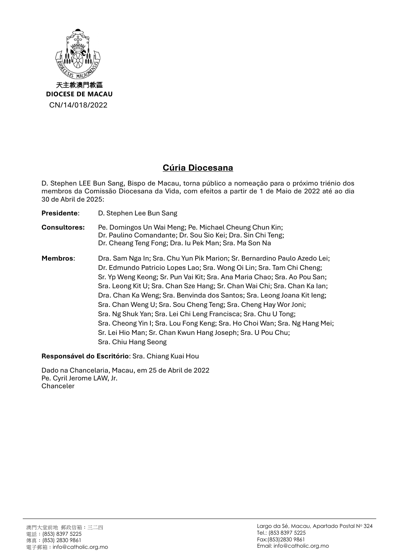

## **Cúria Diocesana**

D. Stephen LEE Bun Sang, Bispo de Macau, torna público a nomeação para o próximo triénio dos membros da Comissão Diocesana da Vida, com efeitos a partir de 1 de Maio de 2022 até ao dia 30 de Abril de 2025:

**Presidente**: D. Stephen Lee Bun Sang

## **Consultores:** Pe. Domingos Un Wai Meng; Pe. Michael Cheung Chun Kin; Dr. Paulino Comandante; Dr. Sou Sio Kei; Dra. Sin Chi Teng; Dr. Cheang Teng Fong; Dra. Iu Pek Man; Sra. Ma Son Na

**Membros**: Dra. Sam Nga In; Sra. Chu Yun Pik Marion; Sr. Bernardino Paulo Azedo Lei; Dr. Edmundo Patricio Lopes Lao; Sra. Wong Oi Lin; Sra. Tam Chi Cheng; Sr. Yp Weng Keong; Sr. Pun Vai Kit; Sra. Ana Maria Chao; Sra. Ao Pou San; Sra. Leong Kit U; Sra. Chan Sze Hang; Sr. Chan Wai Chi; Sra. Chan Ka Ian; Dra. Chan Ka Weng; Sra. Benvinda dos Santos; Sra. Leong Joana Kit Ieng; Sra. Chan Weng U; Sra. Sou Cheng Teng; Sra. Cheng Hay Wor Joni; Sra. Ng Shuk Yan; Sra. Lei Chi Leng Francisca; Sra. Chu U Tong; Sra. Cheong Yin I; Sra. Lou Fong Keng; Sra. Ho Choi Wan; Sra. Ng Hang Mei; Sr. Lei Hio Man; Sr. Chan Kwun Hang Joseph; Sra. U Pou Chu; Sra. Chiu Hang Seong

**Responsável do Escritório**: Sra. Chiang Kuai Hou

Dado na Chancelaria, Macau, em 25 de Abril de 2022 Pe. Cyril Jerome LAW, Jr. Chanceler